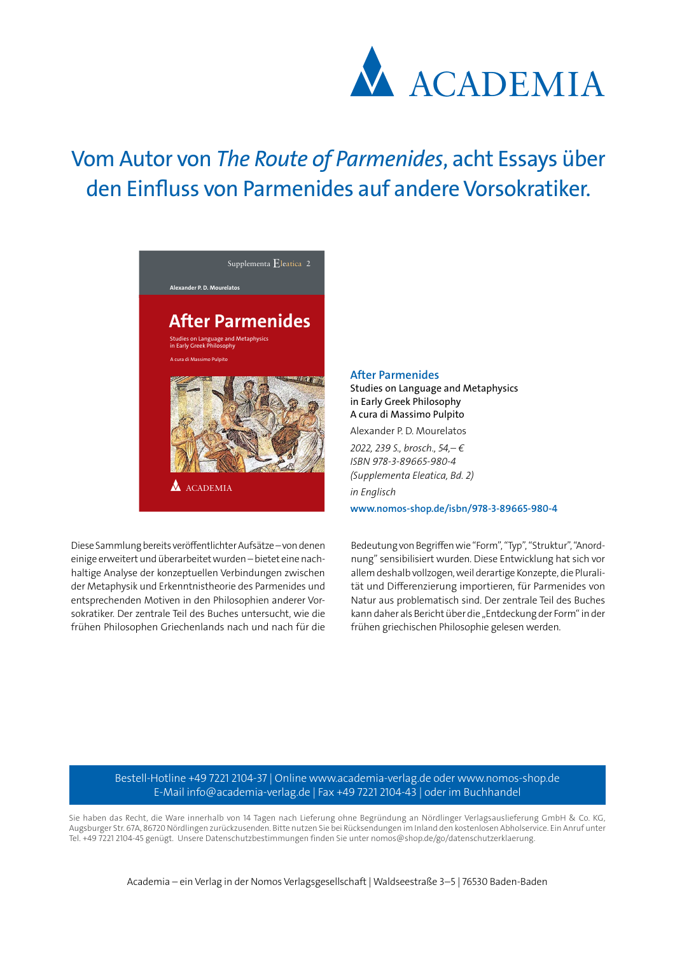

## Vom Autor von *The Route of Parmenides*, acht Essays über den Einfluss von Parmenides auf andere Vorsokratiker.



Diese Sammlung bereits veröffentlichter Aufsätze – von denen einige erweitert und überarbeitet wurden – bietet eine nachhaltige Analyse der konzeptuellen Verbindungen zwischen der Metaphysik und Erkenntnistheorie des Parmenides und entsprechenden Motiven in den Philosophien anderer Vorsokratiker. Der zentrale Teil des Buches untersucht, wie die frühen Philosophen Griechenlands nach und nach für die

## **After Parmenides**

Studies on Language and Metaphysics in Early Greek Philosophy A cura di Massimo Pulpito

Alexander P. D. Mourelatos

*2022, 239 S., brosch., 54,– € ISBN 978-3-89665-980-4 (Supplementa Eleatica, Bd. 2) in Englisch*

**www.nomos-shop.de/isbn/978-3-89665-980-4**

Bedeutung von Begriffen wie "Form", "Typ", "Struktur", "Anordnung" sensibilisiert wurden. Diese Entwicklung hat sich vor allem deshalb vollzogen, weil derartige Konzepte, die Pluralität und Differenzierung importieren, für Parmenides von Natur aus problematisch sind. Der zentrale Teil des Buches kann daher als Bericht über die "Entdeckung der Form" in der frühen griechischen Philosophie gelesen werden.

Bestell-Hotline +49 7221 2104-37 | Online www.academia-verlag.de oder www.nomos-shop.de E-Mail info@academia-verlag.de | Fax +49 7221 2104-43 | oder im Buchhandel

Sie haben das Recht, die Ware innerhalb von 14 Tagen nach Lieferung ohne Begründung an Nördlinger Verlagsauslieferung GmbH & Co. KG, Augsburger Str. 67A, 86720 Nördlingen zurückzusenden. Bitte nutzen Sie bei Rücksendungen im Inland den kostenlosen Abholservice. Ein Anruf unter Tel. +49 7221 2104-45 genügt. Unsere Datenschutzbestimmungen finden Sie unter nomos@shop.de/go/datenschutzerklaerung.

Academia – ein Verlag in der Nomos Verlagsgesellschaft | Waldseestraße 3–5 | 76530 Baden-Baden